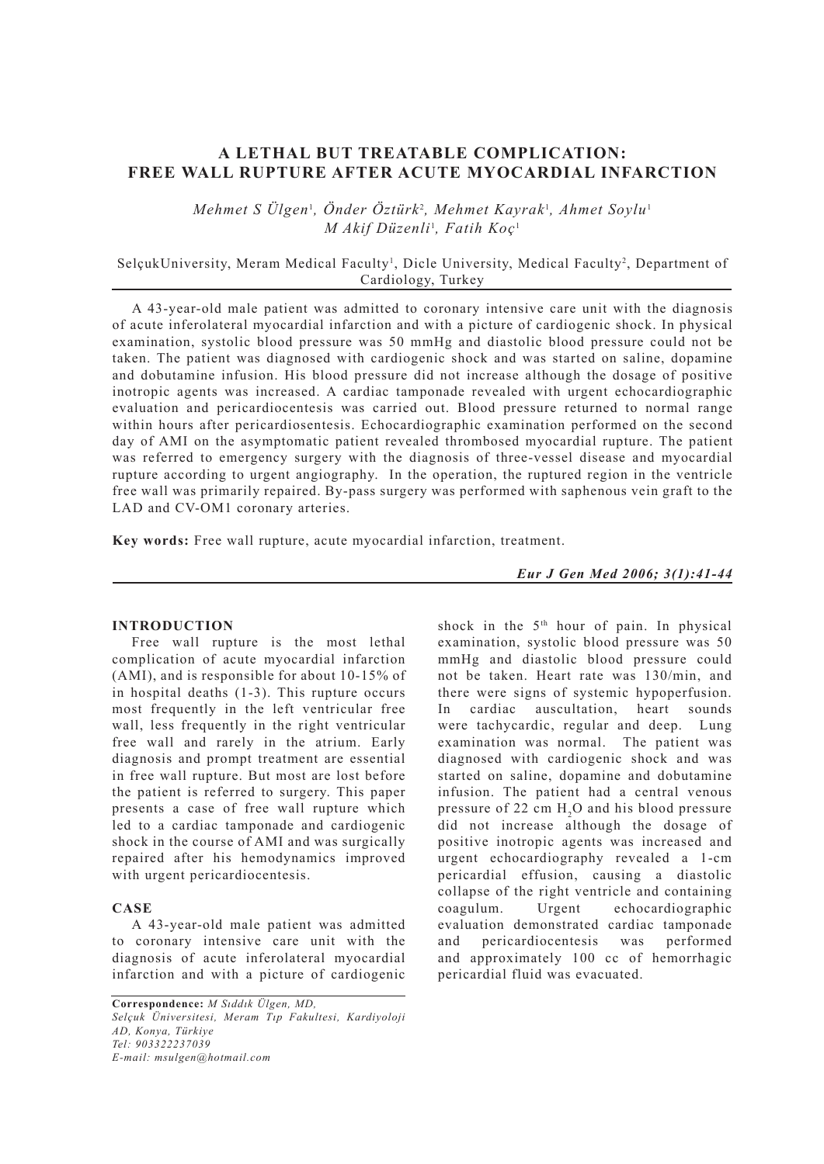# **A LETHAL BUT TREATABLE COMPLICATION: FREE WALL RUPTURE AFTER ACUTE MYOCARDIAL INFARCTION**

 $Mehmet S Ulgen<sup>1</sup>, Onder Öztürk<sup>2</sup>, Mehmet Kayrak<sup>1</sup>, Ahmet Sovlu<sup>1</sup>$ *M Akif Düzenli* <sup>1</sup> *, Fatih Koç* <sup>1</sup>

## SelçukUniversity, Meram Medical Faculty<sup>1</sup>, Dicle University, Medical Faculty<sup>2</sup>, Department of Cardiology, Turkey

A 43-year-old male patient was admitted to coronary intensive care unit with the diagnosis of acute inferolateral myocardial infarction and with a picture of cardiogenic shock. In physical examination, systolic blood pressure was 50 mmHg and diastolic blood pressure could not be taken. The patient was diagnosed with cardiogenic shock and was started on saline, dopamine and dobutamine infusion. His blood pressure did not increase although the dosage of positive inotropic agents was increased. A cardiac tamponade revealed with urgent echocardiographic evaluation and pericardiocentesis was carried out. Blood pressure returned to normal range within hours after pericardiosentesis. Echocardiographic examination performed on the second day of AMI on the asymptomatic patient revealed thrombosed myocardial rupture. The patient was referred to emergency surgery with the diagnosis of three-vessel disease and myocardial rupture according to urgent angiography. In the operation, the ruptured region in the ventricle free wall was primarily repaired. By-pass surgery was performed with saphenous vein graft to the LAD and CV-OM1 coronary arteries.

**Key words:** Free wall rupture, acute myocardial infarction, treatment.

*Eur J Gen Med 2006; 3(1):41-44*

### **INTRODUCTION**

Free wall rupture is the most lethal complication of acute myocardial infarction (AMI), and is responsible for about 10-15% of in hospital deaths (1-3). This rupture occurs most frequently in the left ventricular free wall, less frequently in the right ventricular free wall and rarely in the atrium. Early diagnosis and prompt treatment are essential in free wall rupture. But most are lost before the patient is referred to surgery. This paper presents a case of free wall rupture which led to a cardiac tamponade and cardiogenic shock in the course of AMI and was surgically repaired after his hemodynamics improved with urgent pericardiocentesis.

### **CASE**

A 43-year-old male patient was admitted to coronary intensive care unit with the diagnosis of acute inferolateral myocardial infarction and with a picture of cardiogenic

**Correspondence:** *M Sıddık Ülgen, MD, Selçuk Üniversitesi, Meram Tıp Fakultesi, Kardiyoloji AD, Konya, Türkiye Tel: 903322237039 E-mail: msulgen@hotmail.com*

shock in the 5<sup>th</sup> hour of pain. In physical examination, systolic blood pressure was 50 mmHg and diastolic blood pressure could not be taken. Heart rate was 130/min, and there were signs of systemic hypoperfusion. In cardiac auscultation, heart sounds were tachycardic, regular and deep. Lung examination was normal. The patient was diagnosed with cardiogenic shock and was started on saline, dopamine and dobutamine infusion. The patient had a central venous pressure of 22 cm  $H_2O$  and his blood pressure did not increase although the dosage of positive inotropic agents was increased and urgent echocardiography revealed a 1-cm pericardial effusion, causing a diastolic collapse of the right ventricle and containing coagulum. Urgent echocardiographic evaluation demonstrated cardiac tamponade<br>and pericardiocentesis was performed and pericardiocentesis was and approximately 100 cc of hemorrhagic pericardial fluid was evacuated.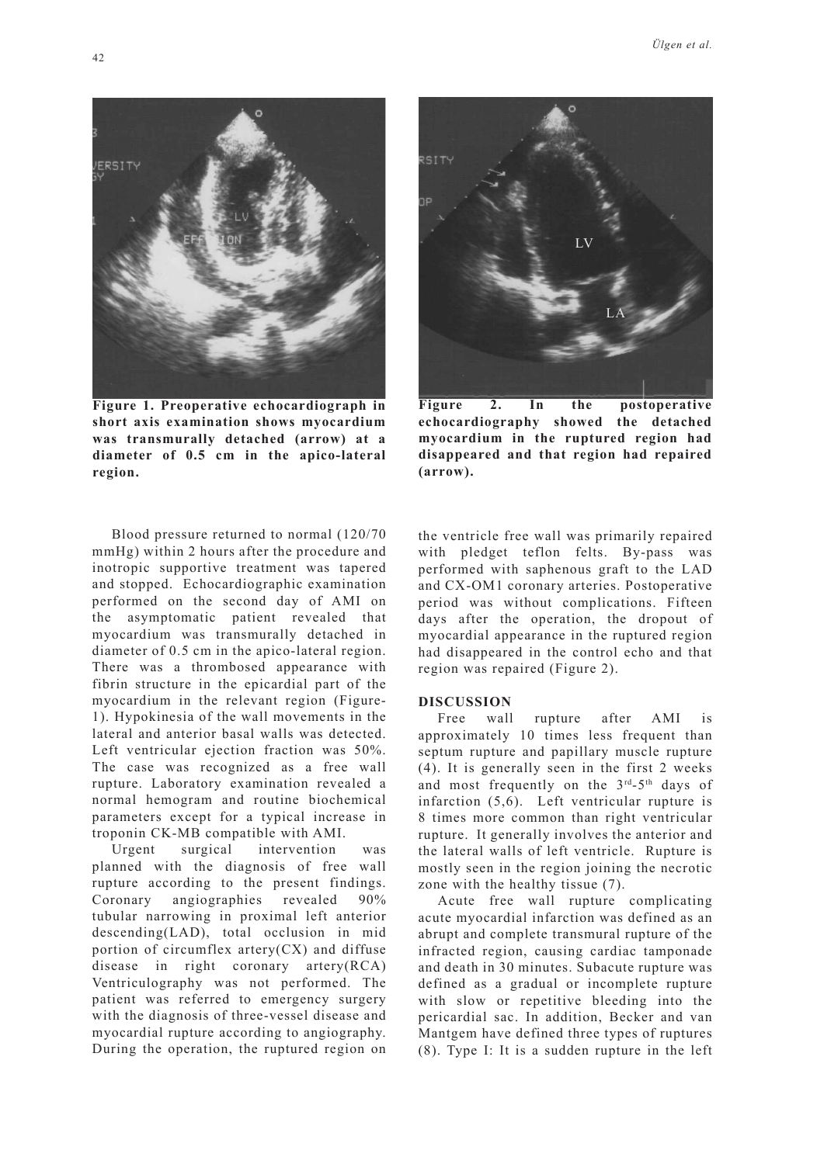

**Figure 1. Preoperative echocardiograph in short axis examination shows myocardium was transmurally detached (arrow) at a diameter of 0.5 cm in the apico-lateral region.**

Blood pressure returned to normal (120/70 mmHg) within 2 hours after the procedure and inotropic supportive treatment was tapered and stopped. Echocardiographic examination performed on the second day of AMI on the asymptomatic patient revealed that myocardium was transmurally detached in diameter of 0.5 cm in the apico-lateral region. There was a thrombosed appearance with fibrin structure in the epicardial part of the myocardium in the relevant region (Figure-1). Hypokinesia of the wall movements in the lateral and anterior basal walls was detected. Left ventricular ejection fraction was 50%. The case was recognized as a free wall rupture. Laboratory examination revealed a normal hemogram and routine biochemical parameters except for a typical increase in troponin CK-MB compatible with AMI.

Urgent surgical intervention was planned with the diagnosis of free wall rupture according to the present findings. Coronary angiographies revealed 90% tubular narrowing in proximal left anterior descending(LAD), total occlusion in mid portion of circumflex artery $(CX)$  and diffuse disease in right coronary artery(RCA) Ventriculography was not performed. The patient was referred to emergency surgery with the diagnosis of three-vessel disease and myocardial rupture according to angiography. During the operation, the ruptured region on



**Figure 2. In the postoperative echocardiography showed the detached myocardium in the ruptured region had disappeared and that region had repaired (arrow).**

the ventricle free wall was primarily repaired with pledget teflon felts. By-pass was performed with saphenous graft to the LAD and CX-OM1 coronary arteries. Postoperative period was without complications. Fifteen days after the operation, the dropout of myocardial appearance in the ruptured region had disappeared in the control echo and that region was repaired (Figure 2).

### **DISCUSSION**

Free wall rupture after AMI is approximately 10 times less frequent than septum rupture and papillary muscle rupture (4). It is generally seen in the first 2 weeks and most frequently on the 3rd-5th days of infarction (5,6). Left ventricular rupture is 8 times more common than right ventricular rupture. It generally involves the anterior and the lateral walls of left ventricle. Rupture is mostly seen in the region joining the necrotic zone with the healthy tissue (7).

Acute free wall rupture complicating acute myocardial infarction was defined as an abrupt and complete transmural rupture of the infracted region, causing cardiac tamponade and death in 30 minutes. Subacute rupture was defined as a gradual or incomplete rupture with slow or repetitive bleeding into the pericardial sac. In addition, Becker and van Mantgem have defined three types of ruptures (8). Type I: It is a sudden rupture in the left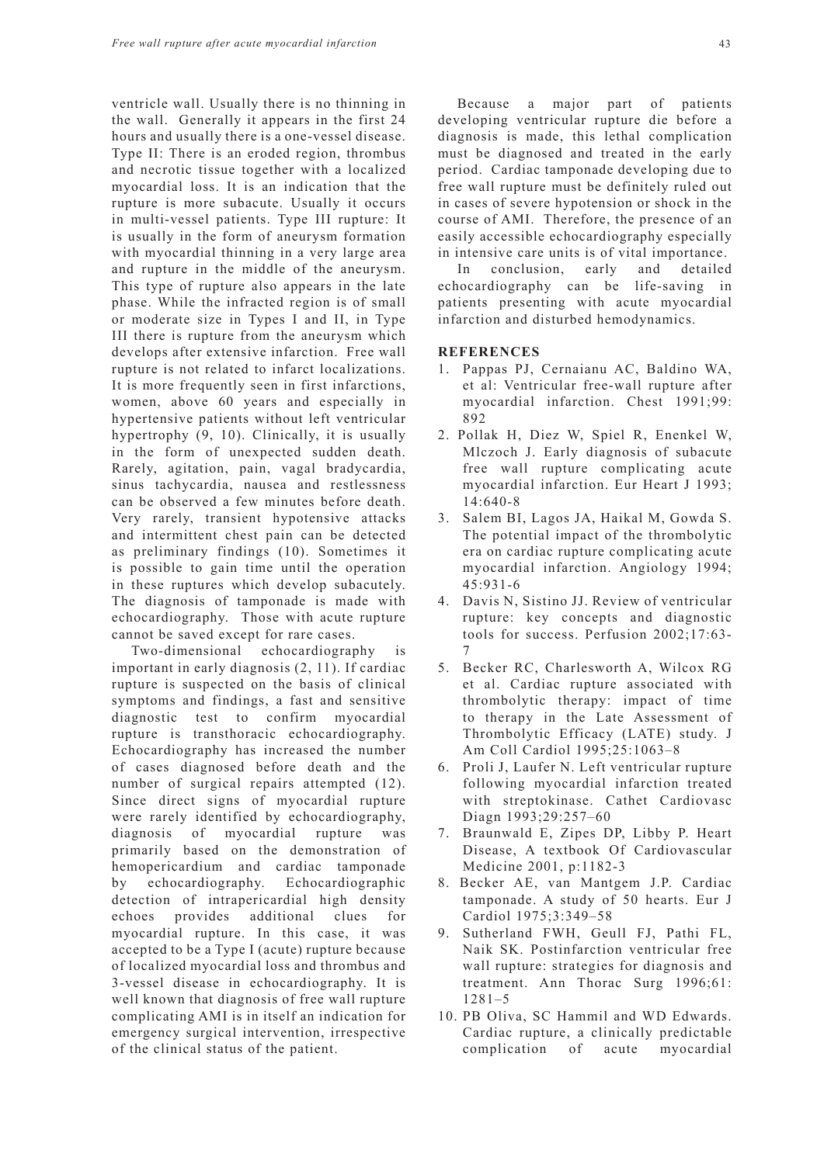ventricle wall. Usually there is no thinning in the wall. Generally it appears in the first 24 hours and usually there is a one-vessel disease. Type II: There is an eroded region, thrombus and necrotic tissue together with a localized myocardial loss. It is an indication that the rupture is more subacute. Usually it occurs in multi-vessel patients. Type III rupture: It is usually in the form of aneurysm formation with myocardial thinning in a very large area and rupture in the middle of the aneurysm. This type of rupture also appears in the late phase. While the infracted region is of small or moderate size in Types I and II, in Type III there is rupture from the aneurysm which develops after extensive infarction. Free wall rupture is not related to infarct localizations. It is more frequently seen in first infarctions, women, above 60 years and especially in hypertensive patients without left ventricular hypertrophy (9, 10). Clinically, it is usually in the form of unexpected sudden death. Rarely, agitation, pain, vagal bradycardia, sinus tachycardia, nausea and restlessness can be observed a few minutes before death. Very rarely, transient hypotensive attacks and intermittent chest pain can be detected as preliminary findings (10). Sometimes it is possible to gain time until the operation in these ruptures which develop subacutely. The diagnosis of tamponade is made with echocardiography. Those with acute rupture cannot be saved except for rare cases.

Two-dimensional echocardiography is important in early diagnosis (2, 11). If cardiac rupture is suspected on the basis of clinical symptoms and findings, a fast and sensitive diagnostic test to confirm myocardial rupture is transthoracic echocardiography. Echocardiography has increased the number of cases diagnosed before death and the number of surgical repairs attempted (12). Since direct signs of myocardial rupture were rarely identified by echocardiography, diagnosis of myocardial rupture was primarily based on the demonstration of hemopericardium and cardiac tamponade by echocardiography. Echocardiographic detection of intrapericardial high density echoes provides additional clues for myocardial rupture. In this case, it was accepted to be a Type I (acute) rupture because of localized myocardial loss and thrombus and 3-vessel disease in echocardiography. It is well known that diagnosis of free wall rupture complicating AMI is in itself an indication for emergency surgical intervention, irrespective of the clinical status of the patient.

developing ventricular rupture die before a diagnosis is made, this lethal complication must be diagnosed and treated in the early period. Cardiac tamponade developing due to free wall rupture must be definitely ruled out in cases of severe hypotension or shock in the course of AMI. Therefore, the presence of an easily accessible echocardiography especially in intensive care units is of vital importance.

In conclusion, early and detailed echocardiography can be life-saving in patients presenting with acute myocardial infarction and disturbed hemodynamics.

#### **REFERENCES**

- 1. Pappas PJ, Cernaianu AC, Baldino WA, et al: Ventricular free-wall rupture after myocardial infarction. Chest 1991;99: 892
- 2. Pollak H, Diez W, Spiel R, Enenkel W, Mlczoch J. Early diagnosis of subacute free wall rupture complicating acute myocardial infarction. Eur Heart J 1993; 14:640-8
- 3. Salem BI, Lagos JA, Haikal M, Gowda S. The potential impact of the thrombolytic era on cardiac rupture complicating acute myocardial infarction. Angiology 1994; 45:931-6
- 4. Davis N, Sistino JJ. Review of ventricular rupture: key concepts and diagnostic tools for success. Perfusion 2002;17:63- 7
- 5. Becker RC, Charlesworth A, Wilcox RG et al. Cardiac rupture associated with thrombolytic therapy: impact of time to therapy in the Late Assessment of Thrombolytic Efficacy (LATE) study. J Am Coll Cardiol 1995;25:1063–8
- 6. Proli J, Laufer N. Left ventricular rupture following myocardial infarction treated with streptokinase. Cathet Cardiovasc Diagn 1993;29:257–60
- 7. Braunwald E, Zipes DP, Libby P. Heart Disease, A textbook Of Cardiovascular Medicine 2001, p:1182-3
- 8. Becker AE, van Mantgem J.P. Cardiac tamponade. A study of 50 hearts. Eur J Cardiol 1975;3:349–58
- 9. Sutherland FWH, Geull FJ, Pathi FL, Naik SK. Postinfarction ventricular free wall rupture: strategies for diagnosis and treatment. Ann Thorac Surg 1996;61: 1281–5
- 10. PB Oliva, SC Hammil and WD Edwards. Cardiac rupture, a clinically predictable complication of acute myocardial